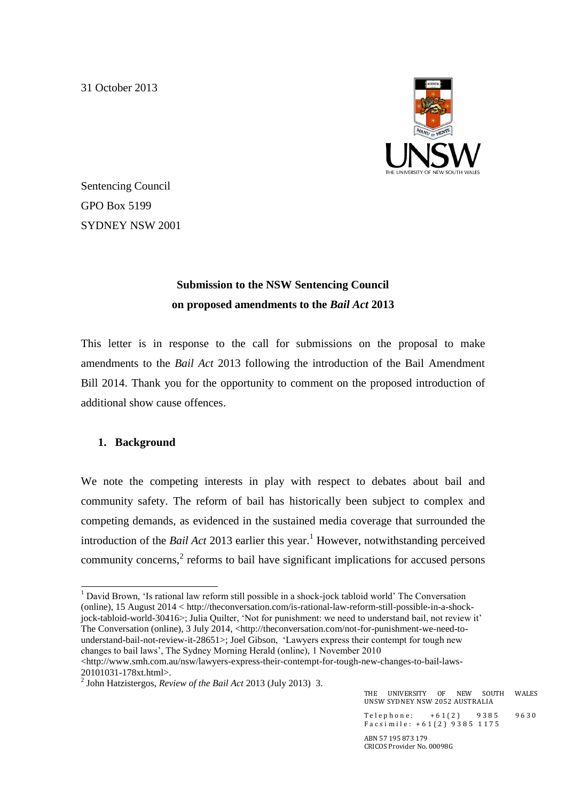31 October 2013



Sentencing Council GPO Box 5199 SYDNEY NSW 2001

# **Submission to the NSW Sentencing Council on proposed amendments to the** *Bail Act* **2013**

This letter is in response to the call for submissions on the proposal to make amendments to the *Bail Act* 2013 following the introduction of the Bail Amendment Bill 2014. Thank you for the opportunity to comment on the proposed introduction of additional show cause offences.

## **1. Background**

We note the competing interests in play with respect to debates about bail and community safety. The reform of bail has historically been subject to complex and competing demands, as evidenced in the sustained media coverage that surrounded the introduction of the *Bail Act* 2013 earlier this year.<sup>1</sup> However, notwithstanding perceived community concerns, $2$  reforms to bail have significant implications for accused persons

 $\langle$ http://www.smh.com.au/nsw/lawyers-express-their-contempt-for-tough-new-changes-to-bail-laws-20101031-178xt.html>.

<sup>1</sup> <sup>1</sup> David Brown, 'Is rational law reform still possible in a shock-jock tabloid world' The Conversation (online), 15 August 2014 < http://theconversation.com/is-rational-law-reform-still-possible-in-a-shockjock-tabloid-world-30416>; Julia Quilter, 'Not for punishment: we need to understand bail, not review it' The Conversation (online), 3 July 2014, <http://theconversation.com/not-for-punishment-we-need-tounderstand-bail-not-review-it-28651>; Joel Gibson, 'Lawyers express their contempt for tough new changes to bail laws', The Sydney Morning Herald (online), 1 November 2010

<sup>2</sup> John Hatzistergos, *Review of the Bail Act* 2013 (July 2013) 3.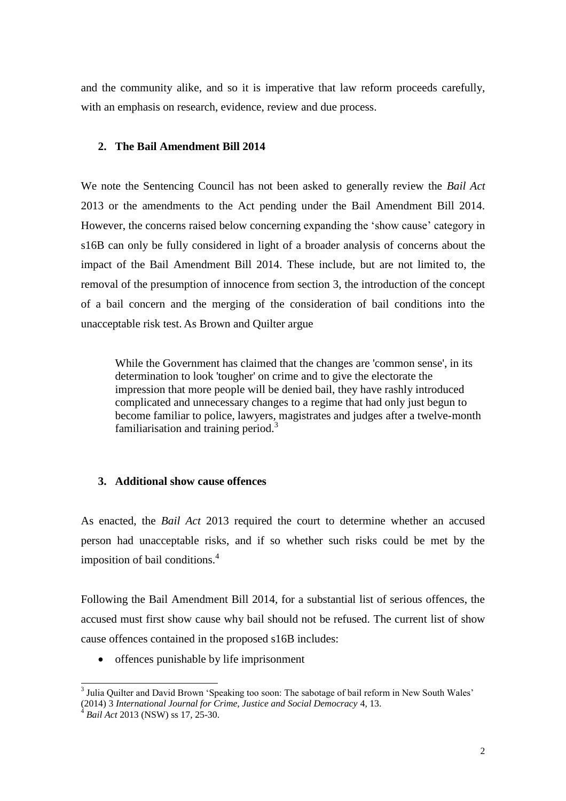and the community alike, and so it is imperative that law reform proceeds carefully, with an emphasis on research, evidence, review and due process.

### **2. The Bail Amendment Bill 2014**

We note the Sentencing Council has not been asked to generally review the *Bail Act* 2013 or the amendments to the Act pending under the Bail Amendment Bill 2014. However, the concerns raised below concerning expanding the 'show cause' category in s16B can only be fully considered in light of a broader analysis of concerns about the impact of the Bail Amendment Bill 2014. These include, but are not limited to, the removal of the presumption of innocence from section 3, the introduction of the concept of a bail concern and the merging of the consideration of bail conditions into the unacceptable risk test. As Brown and Quilter argue

While the Government has claimed that the changes are 'common sense', in its determination to look 'tougher' on crime and to give the electorate the impression that more people will be denied bail, they have rashly introduced complicated and unnecessary changes to a regime that had only just begun to become familiar to police, lawyers, magistrates and judges after a twelve-month familiarisation and training period.<sup>3</sup>

#### **3. Additional show cause offences**

As enacted, the *Bail Act* 2013 required the court to determine whether an accused person had unacceptable risks, and if so whether such risks could be met by the imposition of bail conditions.<sup>4</sup>

Following the Bail Amendment Bill 2014, for a substantial list of serious offences, the accused must first show cause why bail should not be refused. The current list of show cause offences contained in the proposed s16B includes:

• offences punishable by life imprisonment

<sup>&</sup>lt;sup>3</sup> Julia Quilter and David Brown 'Speaking too soon: The sabotage of bail reform in New South Wales' (2014) 3 *International Journal for Crime, Justice and Social Democracy* 4, 13.

<sup>4</sup> *Bail Act* 2013 (NSW) ss 17, 25-30.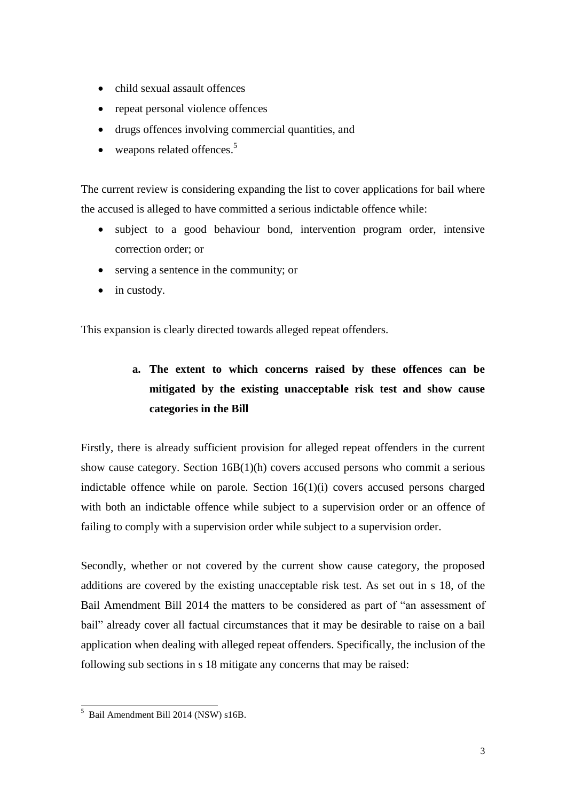- child sexual assault offences
- repeat personal violence offences
- drugs offences involving commercial quantities, and
- $\bullet$  weapons related offences.<sup>5</sup>

The current review is considering expanding the list to cover applications for bail where the accused is alleged to have committed a serious indictable offence while:

- subject to a good behaviour bond, intervention program order, intensive correction order; or
- serving a sentence in the community; or
- in custody.

This expansion is clearly directed towards alleged repeat offenders.

# **a. The extent to which concerns raised by these offences can be mitigated by the existing unacceptable risk test and show cause categories in the Bill**

Firstly, there is already sufficient provision for alleged repeat offenders in the current show cause category. Section 16B(1)(h) covers accused persons who commit a serious indictable offence while on parole. Section 16(1)(i) covers accused persons charged with both an indictable offence while subject to a supervision order or an offence of failing to comply with a supervision order while subject to a supervision order.

Secondly, whether or not covered by the current show cause category, the proposed additions are covered by the existing unacceptable risk test. As set out in s 18, of the Bail Amendment Bill 2014 the matters to be considered as part of "an assessment of bail" already cover all factual circumstances that it may be desirable to raise on a bail application when dealing with alleged repeat offenders. Specifically, the inclusion of the following sub sections in s 18 mitigate any concerns that may be raised:

<sup>1</sup>  $<sup>5</sup>$  Bail Amendment Bill 2014 (NSW) s16B.</sup>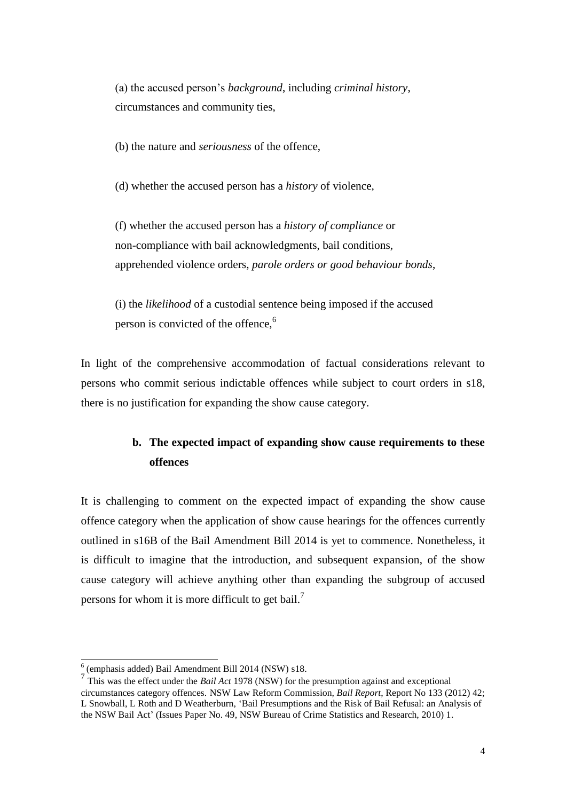(a) the accused person's *background*, including *criminal history*, circumstances and community ties,

(b) the nature and *seriousness* of the offence,

(d) whether the accused person has a *history* of violence,

(f) whether the accused person has a *history of compliance* or non-compliance with bail acknowledgments, bail conditions, apprehended violence orders, *parole orders or good behaviour bonds*,

(i) the *likelihood* of a custodial sentence being imposed if the accused person is convicted of the offence,<sup>6</sup>

In light of the comprehensive accommodation of factual considerations relevant to persons who commit serious indictable offences while subject to court orders in s18, there is no justification for expanding the show cause category.

## **b. The expected impact of expanding show cause requirements to these offences**

It is challenging to comment on the expected impact of expanding the show cause offence category when the application of show cause hearings for the offences currently outlined in s16B of the Bail Amendment Bill 2014 is yet to commence. Nonetheless, it is difficult to imagine that the introduction, and subsequent expansion, of the show cause category will achieve anything other than expanding the subgroup of accused persons for whom it is more difficult to get bail.<sup>7</sup>

 6 (emphasis added) Bail Amendment Bill 2014 (NSW) s18.

<sup>7</sup> This was the effect under the *Bail Act* 1978 (NSW) for the presumption against and exceptional circumstances category offences. NSW Law Reform Commission, *Bail Report*, Report No 133 (2012) 42; L Snowball, L Roth and D Weatherburn, 'Bail Presumptions and the Risk of Bail Refusal: an Analysis of the NSW Bail Act' (Issues Paper No. 49, NSW Bureau of Crime Statistics and Research, 2010) 1.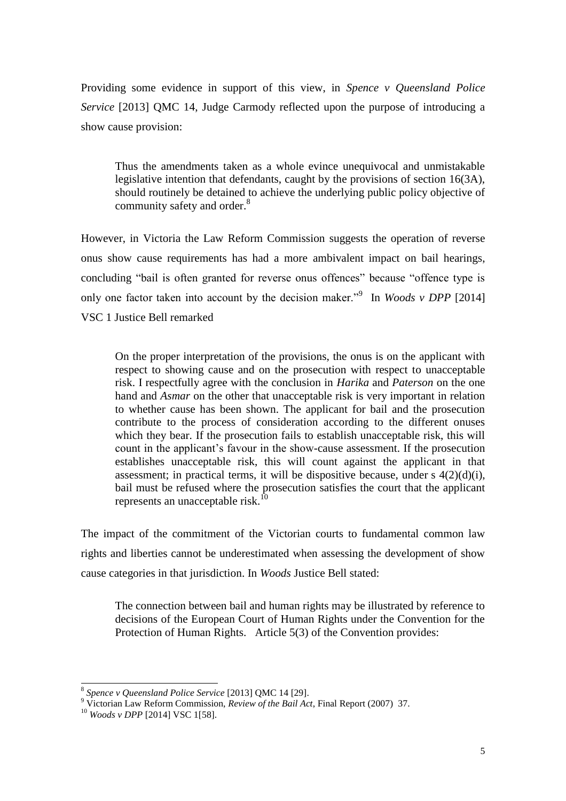Providing some evidence in support of this view, in *Spence v Queensland Police Service* [2013] QMC 14, Judge Carmody reflected upon the purpose of introducing a show cause provision:

Thus the amendments taken as a whole evince unequivocal and unmistakable legislative intention that defendants, caught by the provisions of section 16(3A), should routinely be detained to achieve the underlying public policy objective of community safety and order.<sup>8</sup>

However, in Victoria the Law Reform Commission suggests the operation of reverse onus show cause requirements has had a more ambivalent impact on bail hearings, concluding "bail is often granted for reverse onus offences" because "offence type is only one factor taken into account by the decision maker."<sup>9</sup> In *Woods v DPP* [2014] VSC 1 Justice Bell remarked

On the proper interpretation of the provisions, the onus is on the applicant with respect to showing cause and on the prosecution with respect to unacceptable risk. I respectfully agree with the conclusion in *Harika* and *Paterson* on the one hand and *Asmar* on the other that unacceptable risk is very important in relation to whether cause has been shown. The applicant for bail and the prosecution contribute to the process of consideration according to the different onuses which they bear. If the prosecution fails to establish unacceptable risk, this will count in the applicant's favour in the show-cause assessment. If the prosecution establishes unacceptable risk, this will count against the applicant in that assessment; in practical terms, it will be dispositive because, under  $s \frac{4(2)(d)(i)}{i}$ , bail must be refused where the prosecution satisfies the court that the applicant represents an unacceptable risk.<sup>1</sup>

The impact of the commitment of the Victorian courts to fundamental common law rights and liberties cannot be underestimated when assessing the development of show cause categories in that jurisdiction. In *Woods* Justice Bell stated:

The connection between bail and human rights may be illustrated by reference to decisions of the European Court of Human Rights under the Convention for the Protection of Human Rights. Article 5(3) of the Convention provides:

<sup>8</sup> *Spence v Queensland Police Service* [2013] QMC 14 [29].

<sup>9</sup> Victorian Law Reform Commission, *Review of the Bail Act*, Final Report (2007) 37.

<sup>10</sup> *Woods v DPP* [2014] VSC 1[58].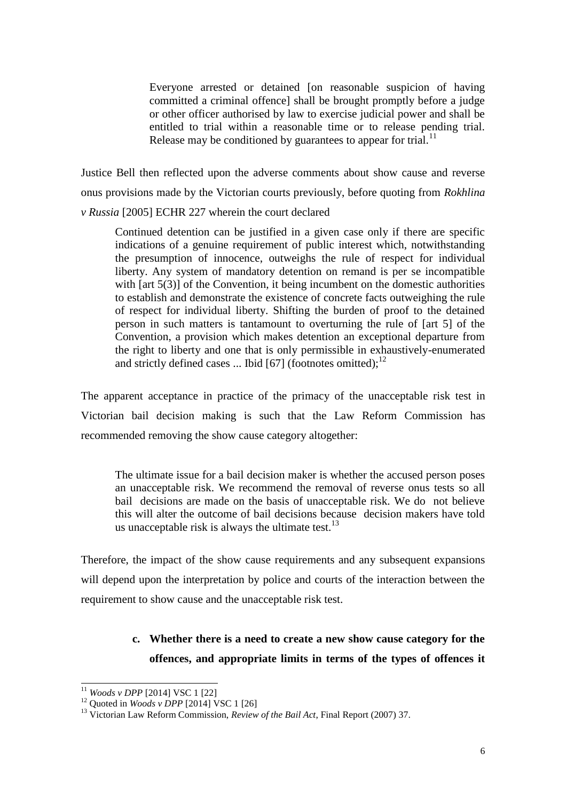Everyone arrested or detained [on reasonable suspicion of having committed a criminal offence] shall be brought promptly before a judge or other officer authorised by law to exercise judicial power and shall be entitled to trial within a reasonable time or to release pending trial. Release may be conditioned by guarantees to appear for trial. $^{11}$ 

Justice Bell then reflected upon the adverse comments about show cause and reverse onus provisions made by the Victorian courts previously, before quoting from *Rokhlina v Russia* [2005] ECHR 227 wherein the court declared

Continued detention can be justified in a given case only if there are specific indications of a genuine requirement of public interest which, notwithstanding the presumption of innocence, outweighs the rule of respect for individual liberty. Any system of mandatory detention on remand is per se incompatible with [art 5(3)] of the Convention, it being incumbent on the domestic authorities to establish and demonstrate the existence of concrete facts outweighing the rule of respect for individual liberty. Shifting the burden of proof to the detained person in such matters is tantamount to overturning the rule of [art 5] of the Convention, a provision which makes detention an exceptional departure from the right to liberty and one that is only permissible in exhaustively-enumerated and strictly defined cases ... Ibid [67] (footnotes omitted); $^{12}$ 

The apparent acceptance in practice of the primacy of the unacceptable risk test in Victorian bail decision making is such that the Law Reform Commission has recommended removing the show cause category altogether:

The ultimate issue for a bail decision maker is whether the accused person poses an unacceptable risk. We recommend the removal of reverse onus tests so all bail decisions are made on the basis of unacceptable risk. We do not believe this will alter the outcome of bail decisions because decision makers have told us unacceptable risk is always the ultimate test.<sup>13</sup>

Therefore, the impact of the show cause requirements and any subsequent expansions will depend upon the interpretation by police and courts of the interaction between the requirement to show cause and the unacceptable risk test.

## **c. Whether there is a need to create a new show cause category for the offences, and appropriate limits in terms of the types of offences it**

<sup>11</sup> *Woods v DPP* [2014] VSC 1 [22]

<sup>12</sup> Quoted in *Woods v DPP* [2014] VSC 1 [26]

<sup>13</sup> Victorian Law Reform Commission, *Review of the Bail Act*, Final Report (2007) 37.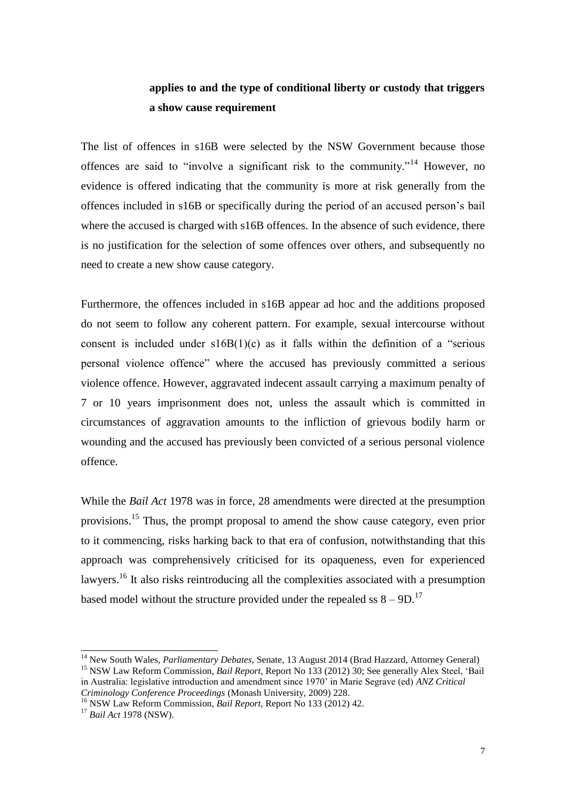## **applies to and the type of conditional liberty or custody that triggers a show cause requirement**

The list of offences in s16B were selected by the NSW Government because those offences are said to "involve a significant risk to the community."<sup>14</sup> However, no evidence is offered indicating that the community is more at risk generally from the offences included in s16B or specifically during the period of an accused person's bail where the accused is charged with s16B offences. In the absence of such evidence, there is no justification for the selection of some offences over others, and subsequently no need to create a new show cause category.

Furthermore, the offences included in s16B appear ad hoc and the additions proposed do not seem to follow any coherent pattern. For example, sexual intercourse without consent is included under  $s16B(1)(c)$  as it falls within the definition of a "serious" personal violence offence" where the accused has previously committed a serious violence offence. However, aggravated indecent assault carrying a maximum penalty of 7 or 10 years imprisonment does not, unless the assault which is committed in circumstances of aggravation amounts to the infliction of grievous bodily harm or wounding and the accused has previously been convicted of a serious personal violence offence.

While the *Bail Act* 1978 was in force, 28 amendments were directed at the presumption provisions.<sup>15</sup> Thus, the prompt proposal to amend the show cause category, even prior to it commencing, risks harking back to that era of confusion, notwithstanding that this approach was comprehensively criticised for its opaqueness, even for experienced lawyers.<sup>16</sup> It also risks reintroducing all the complexities associated with a presumption based model without the structure provided under the repealed ss  $8 - 9D$ .<sup>17</sup>

<sup>14</sup> New South Wales, *Parliamentary Debates,* Senate, 13 August 2014 (Brad Hazzard, Attorney General) <sup>15</sup> NSW Law Reform Commission, *Bail Report*, Report No 133 (2012) 30; See generally Alex Steel, 'Bail in Australia: legislative introduction and amendment since 1970' in Marie Segrave (ed) *ANZ Critical Criminology Conference Proceedings* (Monash University, 2009) 228.

<sup>16</sup> NSW Law Reform Commission, *Bail Report*, Report No 133 (2012) 42.

<sup>17</sup> *Bail Act* 1978 (NSW).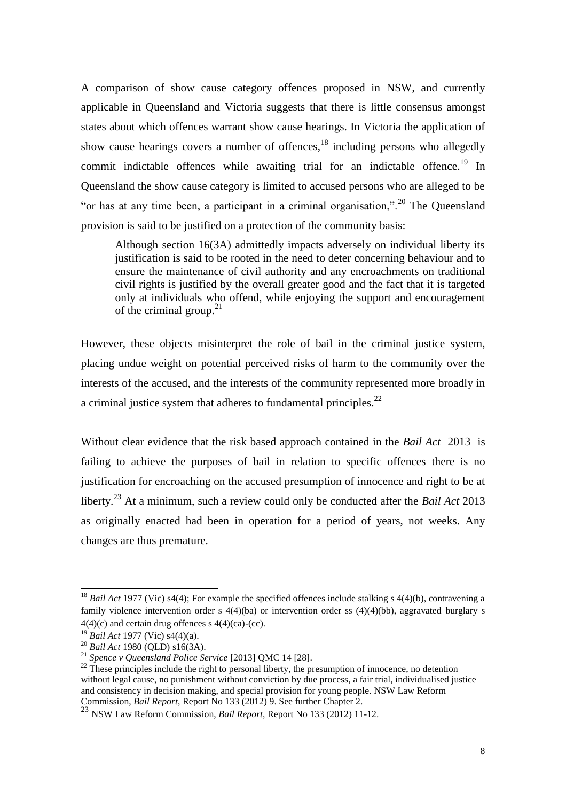A comparison of show cause category offences proposed in NSW, and currently applicable in Queensland and Victoria suggests that there is little consensus amongst states about which offences warrant show cause hearings. In Victoria the application of show cause hearings covers a number of offences,  $^{18}$  including persons who allegedly commit indictable offences while awaiting trial for an indictable offence.<sup>19</sup> In Queensland the show cause category is limited to accused persons who are alleged to be "or has at any time been, a participant in a criminal organisation,".<sup>20</sup> The Queensland provision is said to be justified on a protection of the community basis:

Although section 16(3A) admittedly impacts adversely on individual liberty its justification is said to be rooted in the need to deter concerning behaviour and to ensure the maintenance of civil authority and any encroachments on traditional civil rights is justified by the overall greater good and the fact that it is targeted only at individuals who offend, while enjoying the support and encouragement of the criminal group. $21$ 

However, these objects misinterpret the role of bail in the criminal justice system, placing undue weight on potential perceived risks of harm to the community over the interests of the accused, and the interests of the community represented more broadly in a criminal justice system that adheres to fundamental principles.<sup>22</sup>

Without clear evidence that the risk based approach contained in the *Bail Act* 2013 is failing to achieve the purposes of bail in relation to specific offences there is no justification for encroaching on the accused presumption of innocence and right to be at liberty.<sup>23</sup> At a minimum, such a review could only be conducted after the *Bail Act* 2013 as originally enacted had been in operation for a period of years, not weeks. Any changes are thus premature.

<sup>&</sup>lt;sup>18</sup> *Bail Act* 1977 (Vic) s4(4); For example the specified offences include stalking s 4(4)(b), contravening a family violence intervention order s 4(4)(ba) or intervention order ss (4)(4)(bb), aggravated burglary s  $4(4)(c)$  and certain drug offences s  $4(4)(ca)-(cc)$ .

<sup>19</sup> *Bail Act* 1977 (Vic) s4(4)(a).

<sup>20</sup> *Bail Act* 1980 (QLD) s16(3A).

<sup>21</sup> *Spence v Queensland Police Service* [2013] QMC 14 [28].

 $^{22}$  These principles include the right to personal liberty, the presumption of innocence, no detention without legal cause, no punishment without conviction by due process, a fair trial, individualised justice and consistency in decision making, and special provision for young people. NSW Law Reform Commission, *Bail Report*, Report No 133 (2012) 9. See further Chapter 2.

<sup>23</sup> NSW Law Reform Commission, *Bail Report*, Report No 133 (2012) 11-12.